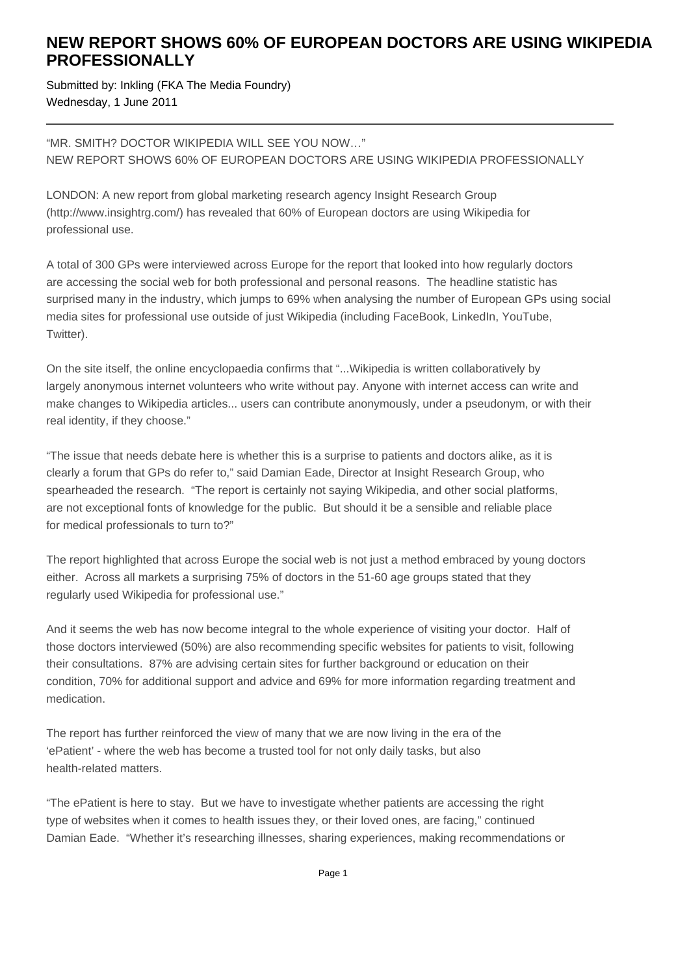## **NEW REPORT SHOWS 60% OF EUROPEAN DOCTORS ARE USING WIKIPEDIA PROFESSIONALLY**

Submitted by: Inkling (FKA The Media Foundry) Wednesday, 1 June 2011

"MR. SMITH? DOCTOR WIKIPEDIA WILL SEE YOU NOW…" NEW REPORT SHOWS 60% OF EUROPEAN DOCTORS ARE USING WIKIPEDIA PROFESSIONALLY

LONDON: A new report from global marketing research agency Insight Research Group (http://www.insightrg.com/) has revealed that 60% of European doctors are using Wikipedia for professional use.

A total of 300 GPs were interviewed across Europe for the report that looked into how regularly doctors are accessing the social web for both professional and personal reasons. The headline statistic has surprised many in the industry, which jumps to 69% when analysing the number of European GPs using social media sites for professional use outside of just Wikipedia (including FaceBook, LinkedIn, YouTube, Twitter).

On the site itself, the online encyclopaedia confirms that "...Wikipedia is written collaboratively by largely anonymous internet volunteers who write without pay. Anyone with internet access can write and make changes to Wikipedia articles... users can contribute anonymously, under a pseudonym, or with their real identity, if they choose."

"The issue that needs debate here is whether this is a surprise to patients and doctors alike, as it is clearly a forum that GPs do refer to," said Damian Eade, Director at Insight Research Group, who spearheaded the research. "The report is certainly not saying Wikipedia, and other social platforms, are not exceptional fonts of knowledge for the public. But should it be a sensible and reliable place for medical professionals to turn to?"

The report highlighted that across Europe the social web is not just a method embraced by young doctors either. Across all markets a surprising 75% of doctors in the 51-60 age groups stated that they regularly used Wikipedia for professional use."

And it seems the web has now become integral to the whole experience of visiting your doctor. Half of those doctors interviewed (50%) are also recommending specific websites for patients to visit, following their consultations. 87% are advising certain sites for further background or education on their condition, 70% for additional support and advice and 69% for more information regarding treatment and medication.

The report has further reinforced the view of many that we are now living in the era of the 'ePatient' - where the web has become a trusted tool for not only daily tasks, but also health-related matters.

"The ePatient is here to stay. But we have to investigate whether patients are accessing the right type of websites when it comes to health issues they, or their loved ones, are facing," continued Damian Eade. "Whether it's researching illnesses, sharing experiences, making recommendations or